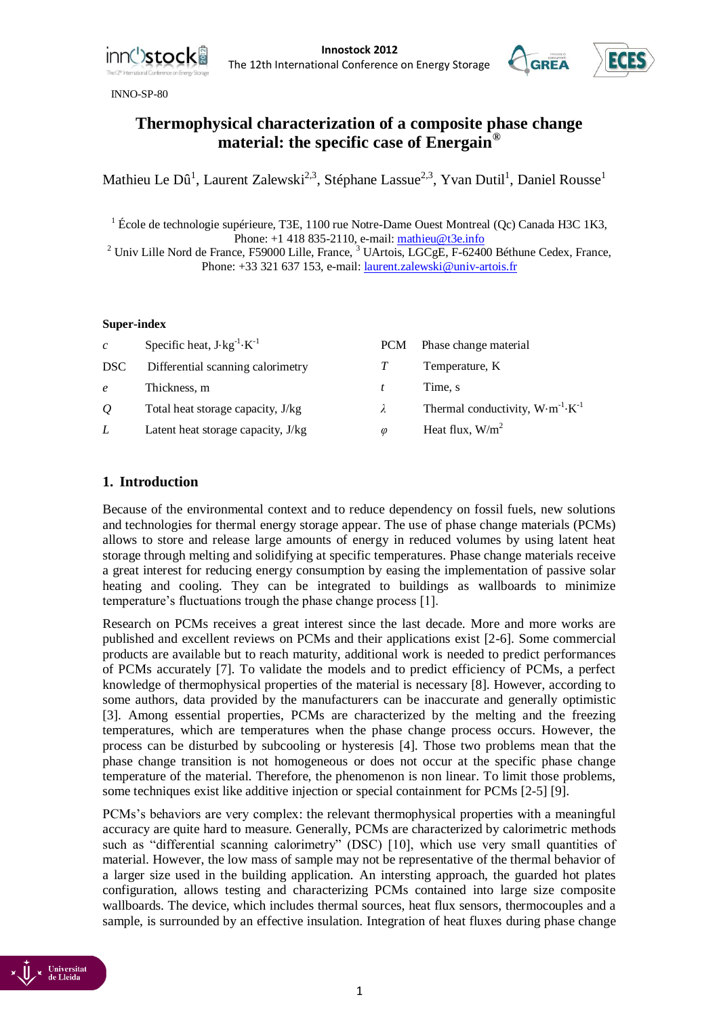

Innostock 2012<br> **Innostock 2012**<br> **Innostock 2012**<br> **Innostock 2012** The 12th International Conference on Energy Storage

INNO-SP-80



# **Thermophysical characterization of a composite phase change material: the specific case of Energain®**

Mathieu Le Dû<sup>1</sup>, Laurent Zalewski<sup>2,3</sup>, Stéphane Lassue<sup>2,3</sup>, Yvan Dutil<sup>1</sup>, Daniel Rousse<sup>1</sup>

<sup>1</sup> École de technologie supérieure, T3E, 1100 rue Notre-Dame Ouest Montreal (Qc) Canada H3C 1K3, Phone: +1 418 835-2110, e-mail: [mathieu@t3e.info](mailto:mathieu@t3e.info)

 $2$  Univ Lille Nord de France, F59000 Lille, France,  $3$  UArtois, LGCgE, F-62400 Béthune Cedex, France, Phone: +33 321 637 153, e-mail[: laurent.zalewski@univ-artois.fr](mailto:laurent.zalewski@univ-artois.fr)

#### **Super-index**

| $\mathcal{C}$  | Specific heat, $J \cdot kg^{-1} \cdot K^{-1}$ | <b>PCM</b>    | Phase change material                               |
|----------------|-----------------------------------------------|---------------|-----------------------------------------------------|
| DSC.           | Differential scanning calorimetry             |               | Temperature, K                                      |
| $\epsilon$     | Thickness, m                                  |               | Time, s                                             |
| $\overline{O}$ | Total heat storage capacity, J/kg             | $\lambda$     | Thermal conductivity, $W \cdot m^{-1} \cdot K^{-1}$ |
| L              | Latent heat storage capacity, J/kg            | $\varnothing$ | Heat flux, $W/m2$                                   |

## **1. Introduction**

Because of the environmental context and to reduce dependency on fossil fuels, new solutions and technologies for thermal energy storage appear. The use of phase change materials (PCMs) allows to store and release large amounts of energy in reduced volumes by using latent heat storage through melting and solidifying at specific temperatures. Phase change materials receive a great interest for reducing energy consumption by easing the implementation of passive solar heating and cooling. They can be integrated to buildings as wallboards to minimize temperature's fluctuations trough the phase change process [1].

Research on PCMs receives a great interest since the last decade. More and more works are published and excellent reviews on PCMs and their applications exist [2-6]. Some commercial products are available but to reach maturity, additional work is needed to predict performances of PCMs accurately [7]. To validate the models and to predict efficiency of PCMs, a perfect knowledge of thermophysical properties of the material is necessary [8]. However, according to some authors, data provided by the manufacturers can be inaccurate and generally optimistic [3]. Among essential properties, PCMs are characterized by the melting and the freezing temperatures, which are temperatures when the phase change process occurs. However, the process can be disturbed by subcooling or hysteresis [4]. Those two problems mean that the phase change transition is not homogeneous or does not occur at the specific phase change temperature of the material. Therefore, the phenomenon is non linear. To limit those problems, some techniques exist like additive injection or special containment for PCMs [2-5] [9].

PCMs's behaviors are very complex: the relevant thermophysical properties with a meaningful accuracy are quite hard to measure. Generally, PCMs are characterized by calorimetric methods such as "differential scanning calorimetry" (DSC) [10], which use very small quantities of material. However, the low mass of sample may not be representative of the thermal behavior of a larger size used in the building application*.* An intersting approach, the guarded hot plates configuration, allows testing and characterizing PCMs contained into large size composite wallboards. The device, which includes thermal sources, heat flux sensors, thermocouples and a sample, is surrounded by an effective insulation. Integration of heat fluxes during phase change

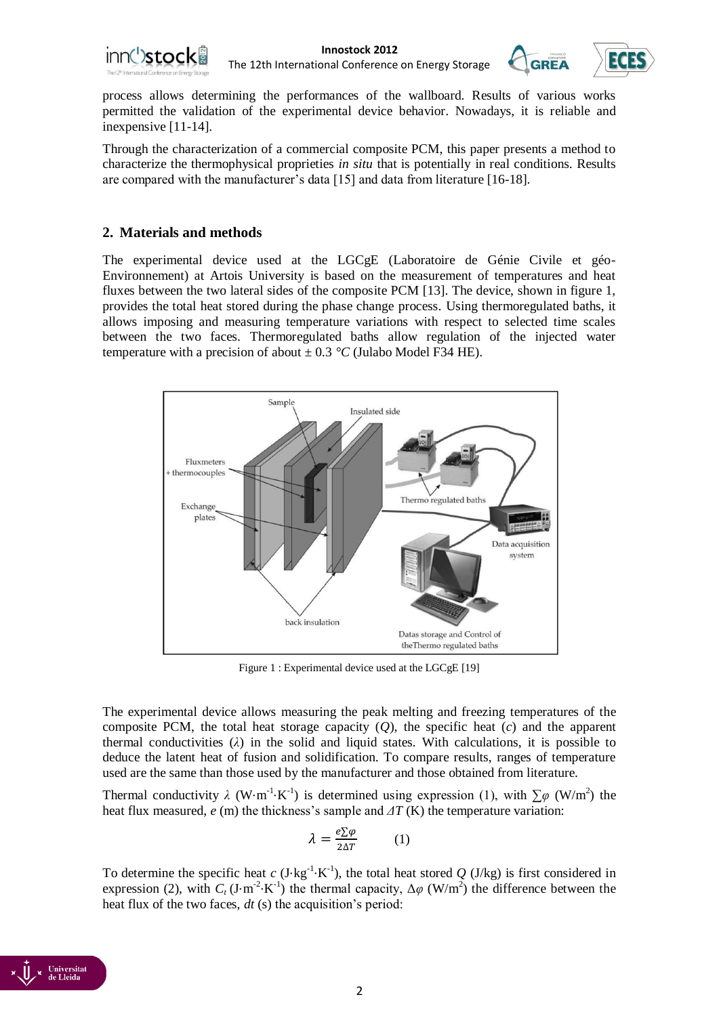



process allows determining the performances of the wallboard. Results of various works permitted the validation of the experimental device behavior. Nowadays, it is reliable and inexpensive [11-14].

Through the characterization of a commercial composite PCM, this paper presents a method to characterize the thermophysical proprieties *in situ* that is potentially in real conditions. Results are compared with the manufacturer's data [15] and data from literature [16-18].

## **2. Materials and methods**

The experimental device used at the LGCgE (Laboratoire de Génie Civile et géo-Environnement) at Artois University is based on the measurement of temperatures and heat fluxes between the two lateral sides of the composite PCM [13]. The device, shown in figure 1, provides the total heat stored during the phase change process*.* Using thermoregulated baths, it allows imposing and measuring temperature variations with respect to selected time scales between the two faces. Thermoregulated baths allow regulation of the injected water temperature with a precision of about  $\pm$  0.3 °C (Julabo Model F34 HE).



Figure 1 : Experimental device used at the LGCgE [19]

The experimental device allows measuring the peak melting and freezing temperatures of the composite PCM, the total heat storage capacity  $(Q)$ , the specific heat  $(c)$  and the apparent thermal conductivities  $(\lambda)$  in the solid and liquid states. With calculations, it is possible to deduce the latent heat of fusion and solidification. To compare results, ranges of temperature used are the same than those used by the manufacturer and those obtained from literature.

Thermal conductivity  $\lambda$  (W⋅m<sup>-1</sup>⋅K<sup>-1</sup>) is determined using expression (1), with  $\sum \varphi$  (W/m<sup>2</sup>) the heat flux measured, *e* (m) the thickness's sample and *ΔT* (K) the temperature variation:

$$
\lambda = \frac{e \Sigma \varphi}{2 \Delta T} \qquad (1)
$$

To determine the specific heat *c* (J⋅kg<sup>-1</sup>⋅K<sup>-1</sup>), the total heat stored *Q* (J/kg) is first considered in expression (2), with  $C_t$  (J⋅m<sup>-2</sup>⋅K<sup>-1</sup>) the thermal capacity,  $\Delta \varphi$  (W/m<sup>2</sup>) the difference between the heat flux of the two faces, *dt* (s) the acquisition's period:

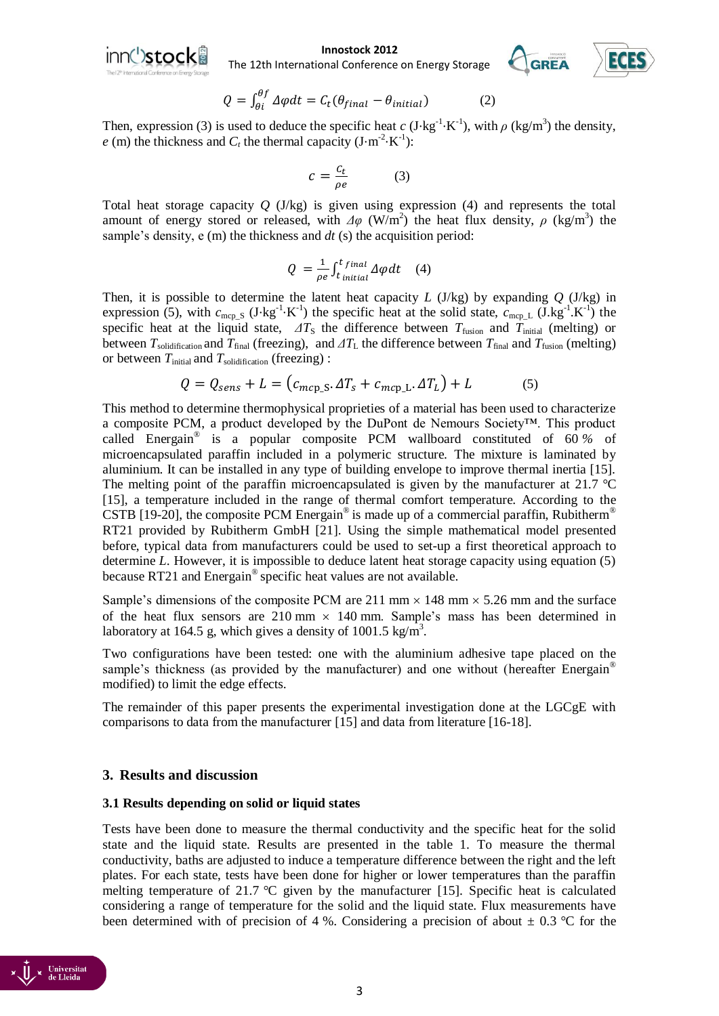

#### **Innostock 2012**<br> **Innal Conference on Energy Storage** The 12th International Conference on Energy Storage



$$
Q = \int_{\theta i}^{\theta f} \Delta \varphi dt = C_t (\theta_{final} - \theta_{initial})
$$
 (2)

Then, expression (3) is used to deduce the specific heat  $c$  (J⋅kg<sup>-1</sup>⋅K<sup>-1</sup>), with  $\rho$  (kg/m<sup>3</sup>) the density,  $e$  (m) the thickness and  $C_t$  the thermal capacity (J⋅m<sup>-2</sup>⋅K<sup>-1</sup>):

$$
c = \frac{c_t}{\rho e} \tag{3}
$$

Total heat storage capacity *Q* (J/kg) is given using expression (4) and represents the total amount of energy stored or released, with  $\Delta\varphi$  (W/m<sup>2</sup>) the heat flux density,  $\rho$  (kg/m<sup>3</sup>) the sample's density, e (m) the thickness and *dt* (s) the acquisition period:

$$
Q = \frac{1}{\rho e} \int_{t \text{ initial}}^{t \text{ final}} \Delta \varphi dt \quad (4)
$$

Then, it is possible to determine the latent heat capacity *L* (J/kg) by expanding *Q* (J/kg) in expression (5), with  $c_{\text{mcp\_S}}$  (J⋅kg<sup>-1</sup>⋅K<sup>-1</sup>) the specific heat at the solid state,  $c_{\text{mcp\_L}}$  (J⋅kg<sup>-1</sup>⋅K<sup>-1</sup>) the specific heat at the liquid state,  $\Delta T_s$  the difference between  $T_{fusion}$  and  $T_{initial}$  (melting) or between  $T_{\text{solidification}}$  and  $T_{\text{final}}$  (freezing), and  $\Delta T_{\text{L}}$  the difference between  $T_{\text{final}}$  and  $T_{\text{fusion}}$  (melting) or between  $T_{initial}$  and  $T_{solidification}$  (freezing) :

$$
Q = Q_{sens} + L = (c_{mcp\_S}. \Delta T_s + c_{mcp\_L}. \Delta T_L) + L \tag{5}
$$

This method to determine thermophysical proprieties of a material has been used to characterize a composite PCM, a product developed by the DuPont de Nemours Society™. This product called Energain® is a popular composite PCM wallboard constituted of 60 *%* of microencapsulated paraffin included in a polymeric structure. The mixture is laminated by aluminium. It can be installed in any type of building envelope to improve thermal inertia [15]. The melting point of the paraffin microencapsulated is given by the manufacturer at 21.7 *°*C [15], a temperature included in the range of thermal comfort temperature. According to the CSTB [19-20], the composite PCM Energain® is made up of a commercial paraffin, Rubitherm<sup>®</sup> RT21 provided by Rubitherm GmbH [21]. Using the simple mathematical model presented before, typical data from manufacturers could be used to set-up a first theoretical approach to determine *L*. However, it is impossible to deduce latent heat storage capacity using equation (5) because RT21 and Energain® specific heat values are not available.

Sample's dimensions of the composite PCM are 211 mm  $\times$  148 mm  $\times$  5.26 mm and the surface of the heat flux sensors are  $210 \text{ mm} \times 140 \text{ mm}$ . Sample's mass has been determined in laboratory at 164.5 g, which gives a density of 1001.5 kg/m<sup>3</sup>.

Two configurations have been tested: one with the aluminium adhesive tape placed on the sample's thickness (as provided by the manufacturer) and one without (hereafter Energain<sup>®</sup> modified) to limit the edge effects.

The remainder of this paper presents the experimental investigation done at the LGCgE with comparisons to data from the manufacturer [15] and data from literature [16-18].

## **3. Results and discussion**

## **3.1 Results depending on solid or liquid states**

Tests have been done to measure the thermal conductivity and the specific heat for the solid state and the liquid state. Results are presented in the table 1. To measure the thermal conductivity, baths are adjusted to induce a temperature difference between the right and the left plates. For each state, tests have been done for higher or lower temperatures than the paraffin melting temperature of 21.7 *°*C given by the manufacturer [15]. Specific heat is calculated considering a range of temperature for the solid and the liquid state. Flux measurements have been determined with of precision of 4 %. Considering a precision of about  $\pm$  0.3 °C for the

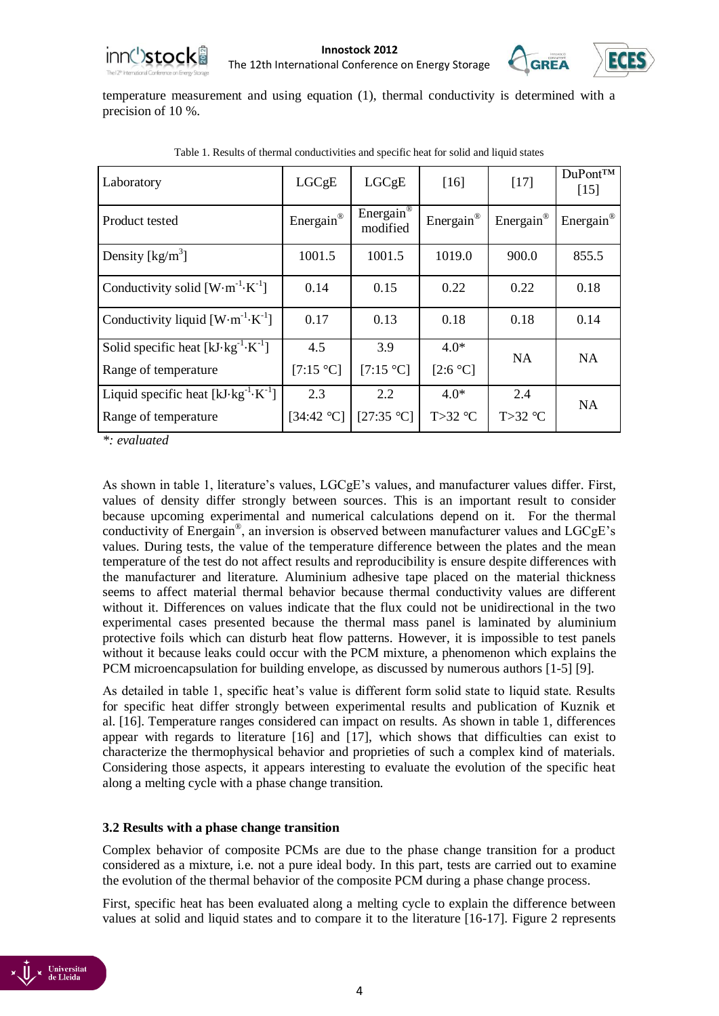



temperature measurement and using equation (1), thermal conductivity is determined with a precision of 10 %.

| Laboratory                                             | LGCgE      | LGCgE                             | $[16]$    | $[17]$                | $Du$ Pont <sup>TM</sup><br>$[15]$ |  |
|--------------------------------------------------------|------------|-----------------------------------|-----------|-----------------------|-----------------------------------|--|
| Product tested                                         | Energain®  | Energain <sup>®</sup><br>modified | Energain® | Energain <sup>®</sup> | Energain <sup>®</sup>             |  |
| Density $\left[\frac{kg}{m^3}\right]$                  | 1001.5     | 1001.5                            | 1019.0    | 900.0                 | 855.5                             |  |
| Conductivity solid $[W \cdot m^{-1} \cdot K^{-1}]$     | 0.14       | 0.15                              | 0.22      | 0.22                  | 0.18                              |  |
| Conductivity liquid $[W \cdot m^{-1} \cdot K^{-1}]$    | 0.17       | 0.13                              | 0.18      | 0.18                  | 0.14                              |  |
| Solid specific heat $[kJ \cdot kg^{-1} \cdot K^{-1}]$  | 4.5        | 3.9                               | $4.0*$    | NA                    | <b>NA</b>                         |  |
| Range of temperature                                   | [7:15 °C]  | [7:15 °C]                         | [2:6 °C]  |                       |                                   |  |
| Liquid specific heat $[kJ \cdot kg^{-1} \cdot K^{-1}]$ | 2.3        | 2.2                               | $4.0*$    | 2.4                   | <b>NA</b>                         |  |
| Range of temperature                                   | [34:42 °C] | [27:35 °C]                        | $T>32$ °C | $T>32$ °C             |                                   |  |

Table 1. Results of thermal conductivities and specific heat for solid and liquid states

*\*: evaluated*

As shown in table 1, literature's values, LGCgE's values, and manufacturer values differ. First, values of density differ strongly between sources. This is an important result to consider because upcoming experimental and numerical calculations depend on it. For the thermal conductivity of Energain® , an inversion is observed between manufacturer values and LGCgE's values. During tests, the value of the temperature difference between the plates and the mean temperature of the test do not affect results and reproducibility is ensure despite differences with the manufacturer and literature. Aluminium adhesive tape placed on the material thickness seems to affect material thermal behavior because thermal conductivity values are different without it. Differences on values indicate that the flux could not be unidirectional in the two experimental cases presented because the thermal mass panel is laminated by aluminium protective foils which can disturb heat flow patterns. However, it is impossible to test panels without it because leaks could occur with the PCM mixture, a phenomenon which explains the PCM microencapsulation for building envelope, as discussed by numerous authors [1-5] [9].

As detailed in table 1, specific heat's value is different form solid state to liquid state. Results for specific heat differ strongly between experimental results and publication of Kuznik et al. [16]. Temperature ranges considered can impact on results. As shown in table 1, differences appear with regards to literature [16] and [17], which shows that difficulties can exist to characterize the thermophysical behavior and proprieties of such a complex kind of materials. Considering those aspects, it appears interesting to evaluate the evolution of the specific heat along a melting cycle with a phase change transition.

## **3.2 Results with a phase change transition**

Complex behavior of composite PCMs are due to the phase change transition for a product considered as a mixture, i.e. not a pure ideal body. In this part, tests are carried out to examine the evolution of the thermal behavior of the composite PCM during a phase change process.

First, specific heat has been evaluated along a melting cycle to explain the difference between values at solid and liquid states and to compare it to the literature [16-17]. Figure 2 represents

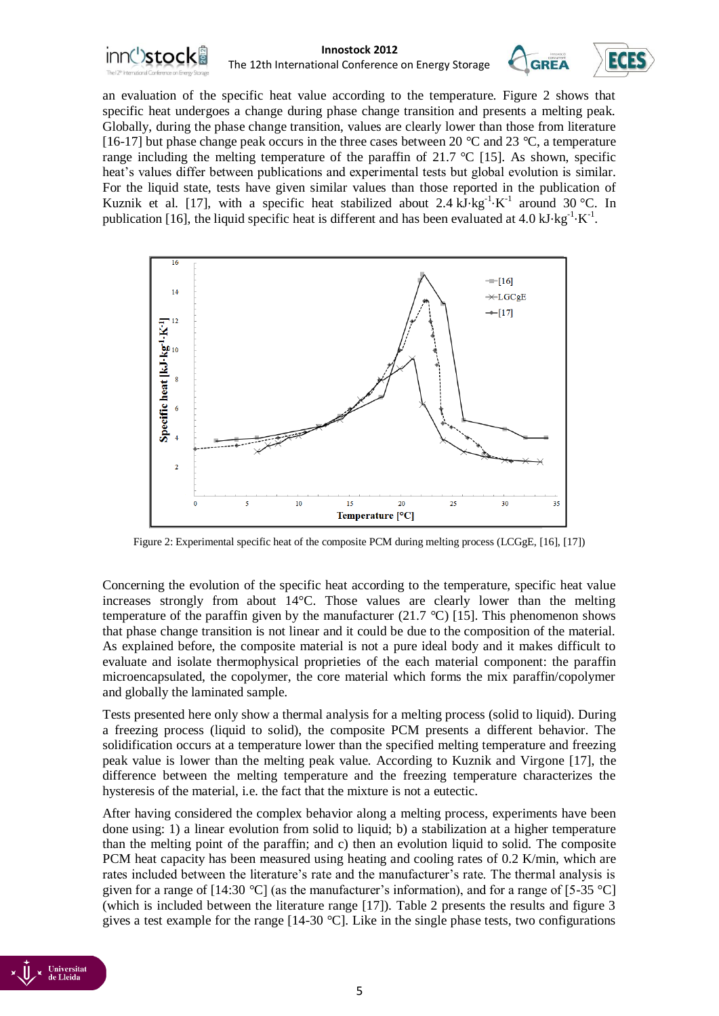

an evaluation of the specific heat value according to the temperature. Figure 2 shows that specific heat undergoes a change during phase change transition and presents a melting peak. Globally, during the phase change transition, values are clearly lower than those from literature [16-17] but phase change peak occurs in the three cases between 20 *°*C and 23 *°*C, a temperature range including the melting temperature of the paraffin of 21.7 *°*C [15]. As shown, specific heat's values differ between publications and experimental tests but global evolution is similar. For the liquid state, tests have given similar values than those reported in the publication of Kuznik et al. [17], with a specific heat stabilized about  $2.4 \text{ kJ} \cdot \text{kg}^{-1} \cdot \text{K}^{-1}$  around 30 °C. In publication [16], the liquid specific heat is different and has been evaluated at 4.0 kJ⋅kg<sup>-1</sup>⋅K<sup>-1</sup>.



Figure 2: Experimental specific heat of the composite PCM during melting process (LCGgE, [16], [17])

Concerning the evolution of the specific heat according to the temperature, specific heat value increases strongly from about 14°C. Those values are clearly lower than the melting temperature of the paraffin given by the manufacturer (21.7 *°*C) [15]. This phenomenon shows that phase change transition is not linear and it could be due to the composition of the material. As explained before, the composite material is not a pure ideal body and it makes difficult to evaluate and isolate thermophysical proprieties of the each material component: the paraffin microencapsulated, the copolymer, the core material which forms the mix paraffin/copolymer and globally the laminated sample.

Tests presented here only show a thermal analysis for a melting process (solid to liquid). During a freezing process (liquid to solid), the composite PCM presents a different behavior. The solidification occurs at a temperature lower than the specified melting temperature and freezing peak value is lower than the melting peak value. According to Kuznik and Virgone [17], the difference between the melting temperature and the freezing temperature characterizes the hysteresis of the material, i.e. the fact that the mixture is not a eutectic.

After having considered the complex behavior along a melting process, experiments have been done using: 1) a linear evolution from solid to liquid; b) a stabilization at a higher temperature than the melting point of the paraffin; and c) then an evolution liquid to solid. The composite PCM heat capacity has been measured using heating and cooling rates of 0.2 K/min, which are rates included between the literature's rate and the manufacturer's rate. The thermal analysis is given for a range of [14:30 *°*C] (as the manufacturer's information), and for a range of [5-35 °C] (which is included between the literature range [17]). Table 2 presents the results and figure 3 gives a test example for the range [14-30 *°*C]. Like in the single phase tests, two configurations

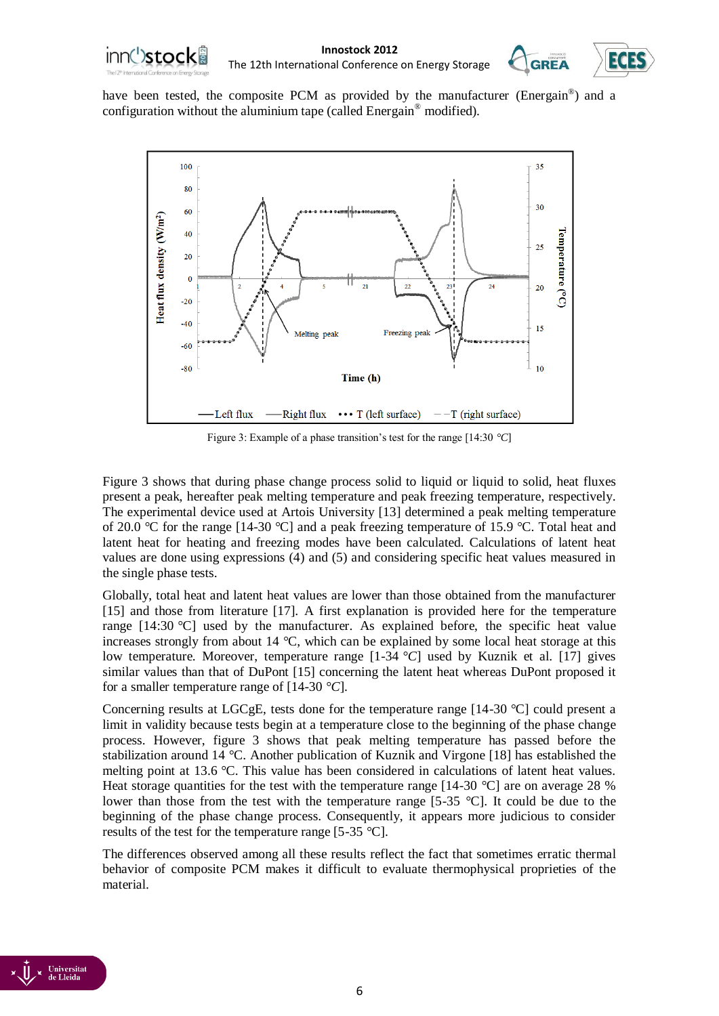



have been tested, the composite PCM as provided by the manufacturer (Energain®) and a configuration without the aluminium tape (called Energain® modified).



Figure 3: Example of a phase transition's test for the range [14:30 *°C*]

Figure 3 shows that during phase change process solid to liquid or liquid to solid, heat fluxes present a peak, hereafter peak melting temperature and peak freezing temperature, respectively. The experimental device used at Artois University [13] determined a peak melting temperature of 20.0 *°*C for the range [14-30 *°*C] and a peak freezing temperature of 15.9 *°*C. Total heat and latent heat for heating and freezing modes have been calculated. Calculations of latent heat values are done using expressions (4) and (5) and considering specific heat values measured in the single phase tests.

Globally, total heat and latent heat values are lower than those obtained from the manufacturer [15] and those from literature [17]. A first explanation is provided here for the temperature range [14:30 *°*C] used by the manufacturer. As explained before, the specific heat value increases strongly from about 14 *°*C, which can be explained by some local heat storage at this low temperature. Moreover, temperature range [1-34 *°C*] used by Kuznik et al. [17] gives similar values than that of DuPont [15] concerning the latent heat whereas DuPont proposed it for a smaller temperature range of [14-30 *°C*].

Concerning results at LGCgE, tests done for the temperature range [14-30 *°*C] could present a limit in validity because tests begin at a temperature close to the beginning of the phase change process. However, figure 3 shows that peak melting temperature has passed before the stabilization around 14 *°*C. Another publication of Kuznik and Virgone [18] has established the melting point at 13.6 *°*C. This value has been considered in calculations of latent heat values. Heat storage quantities for the test with the temperature range [14-30 *°*C] are on average 28 % lower than those from the test with the temperature range [5-35 *°*C]. It could be due to the beginning of the phase change process. Consequently, it appears more judicious to consider results of the test for the temperature range [5-35 *°*C].

The differences observed among all these results reflect the fact that sometimes erratic thermal behavior of composite PCM makes it difficult to evaluate thermophysical proprieties of the material.

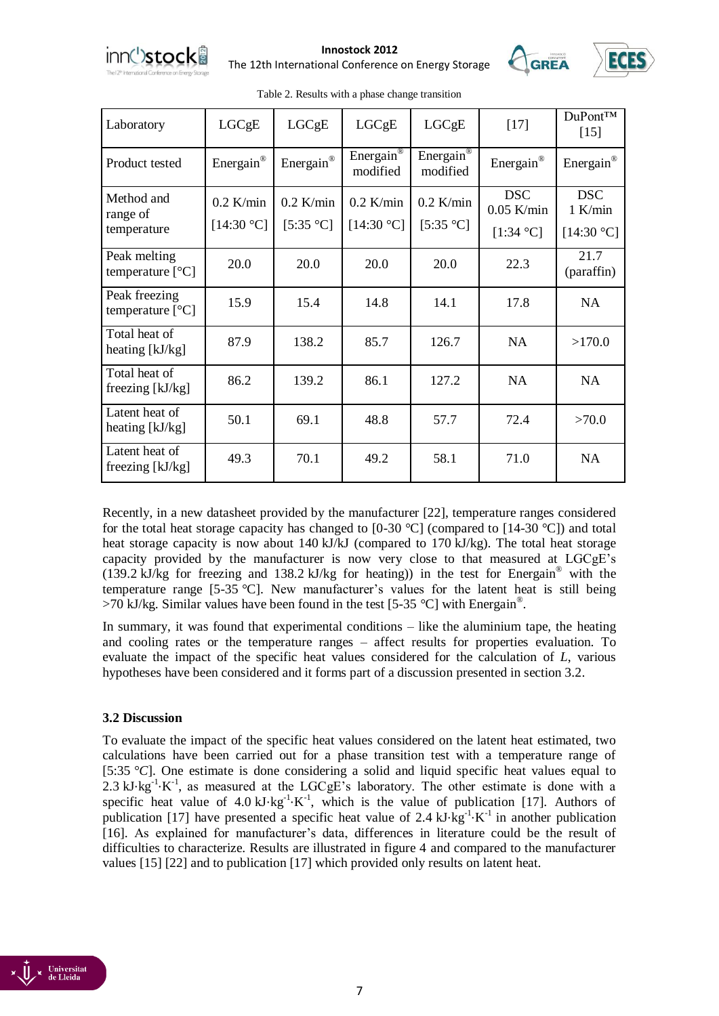

**Innostock 2012**<br>anal Conference on Energy Storage The 12th International Conference on Energy Storage



| Laboratory                            | LGCgE                     | LGCgE                    | LGCgE                             | LGCgE                    | $[17]$                                  | DuPont™<br>$[15]$                     |
|---------------------------------------|---------------------------|--------------------------|-----------------------------------|--------------------------|-----------------------------------------|---------------------------------------|
| Product tested                        | Energain®                 | Energain®                | Energain <sup>®</sup><br>modified | Energain®<br>modified    | Energain®                               | Energain®                             |
| Method and<br>range of<br>temperature | $0.2$ K/min<br>[14:30 °C] | $0.2$ K/min<br>[5:35 °C] | $0.2$ K/min<br>[14:30 °C]         | $0.2$ K/min<br>[5:35 °C] | <b>DSC</b><br>$0.05$ K/min<br>[1:34 °C] | <b>DSC</b><br>$1$ K/min<br>[14:30 °C] |
| Peak melting<br>temperature $[°C]$    | 20.0                      | 20.0                     | 20.0                              | 20.0                     | 22.3                                    | 21.7<br>(paraffin)                    |
| Peak freezing<br>temperature $[°C]$   | 15.9                      | 15.4                     | 14.8                              | 14.1                     | 17.8                                    | <b>NA</b>                             |
| Total heat of<br>heating [kJ/kg]      | 87.9                      | 138.2                    | 85.7                              | 126.7                    | <b>NA</b>                               | >170.0                                |
| Total heat of<br>freezing $[kJ/kg]$   | 86.2                      | 139.2                    | 86.1                              | 127.2                    | <b>NA</b>                               | <b>NA</b>                             |
| Latent heat of<br>heating [kJ/kg]     | 50.1                      | 69.1                     | 48.8                              | 57.7                     | 72.4                                    | >70.0                                 |
| Latent heat of<br>freezing $[kJ/kg]$  | 49.3                      | 70.1                     | 49.2                              | 58.1                     | 71.0                                    | <b>NA</b>                             |

Table 2. Results with a phase change transition

Recently, in a new datasheet provided by the manufacturer [22], temperature ranges considered for the total heat storage capacity has changed to [0-30 *°*C] (compared to [14-30 *°*C]) and total heat storage capacity is now about 140 kJ/kJ (compared to 170 kJ/kg). The total heat storage capacity provided by the manufacturer is now very close to that measured at LGCgE's (139.2 kJ/kg for freezing and 138.2 kJ/kg for heating)) in the test for Energain® with the temperature range [5-35 *°*C]. New manufacturer's values for the latent heat is still being >70 kJ/kg. Similar values have been found in the test [5-35 *°*C] with Energain® .

In summary, it was found that experimental conditions – like the aluminium tape, the heating and cooling rates or the temperature ranges – affect results for properties evaluation. To evaluate the impact of the specific heat values considered for the calculation of *L*, various hypotheses have been considered and it forms part of a discussion presented in section 3.2.

## **3.2 Discussion**

To evaluate the impact of the specific heat values considered on the latent heat estimated, two calculations have been carried out for a phase transition test with a temperature range of [5:35 *°C*]. One estimate is done considering a solid and liquid specific heat values equal to  $2.3 \text{ kJ·kg}^{-1} \cdot \text{K}^{-1}$ , as measured at the LGCgE's laboratory. The other estimate is done with a specific heat value of  $4.0 \text{ kJ·kg}^{-1} \cdot \text{K}^{-1}$ , which is the value of publication [17]. Authors of publication [17] have presented a specific heat value of 2.4 kJ⋅kg<sup>-1</sup>⋅K<sup>-1</sup> in another publication [16]. As explained for manufacturer's data, differences in literature could be the result of difficulties to characterize. Results are illustrated in figure 4 and compared to the manufacturer values [15] [22] and to publication [17] which provided only results on latent heat.

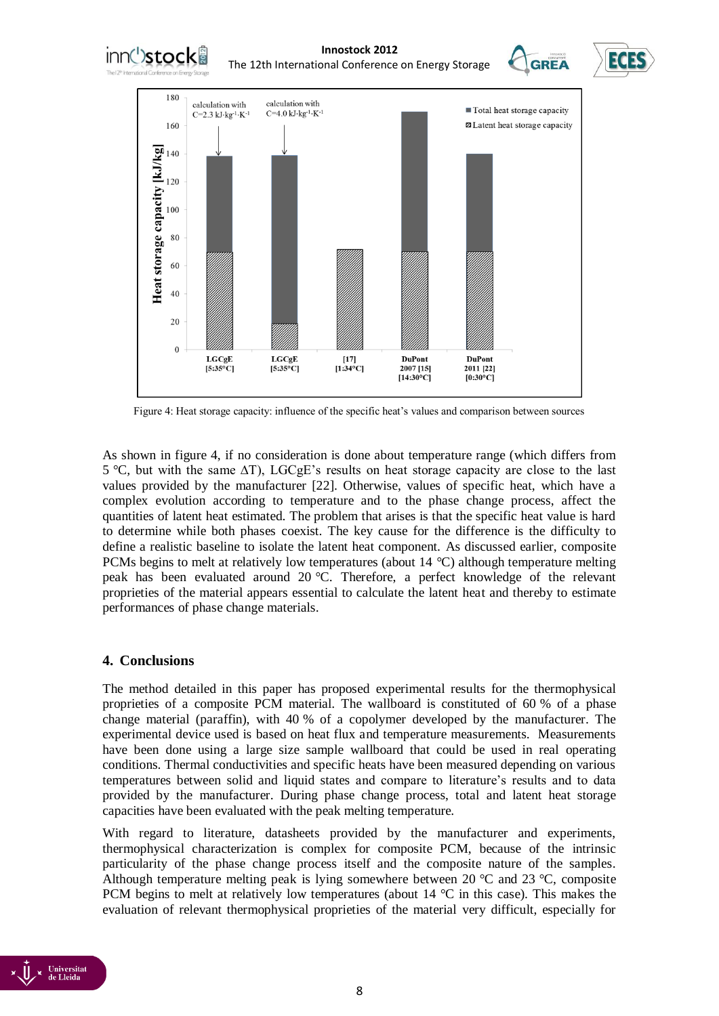

Figure 4: Heat storage capacity: influence of the specific heat's values and comparison between sources

As shown in figure 4, if no consideration is done about temperature range (which differs from 5 *°*C*,* but with the same ∆T), LGCgE's results on heat storage capacity are close to the last values provided by the manufacturer [22]. Otherwise, values of specific heat, which have a complex evolution according to temperature and to the phase change process, affect the quantities of latent heat estimated. The problem that arises is that the specific heat value is hard to determine while both phases coexist. The key cause for the difference is the difficulty to define a realistic baseline to isolate the latent heat component. As discussed earlier, composite PCMs begins to melt at relatively low temperatures (about 14 *°*C) although temperature melting peak has been evaluated around 20 *°*C. Therefore, a perfect knowledge of the relevant proprieties of the material appears essential to calculate the latent heat and thereby to estimate performances of phase change materials.

## **4. Conclusions**

The method detailed in this paper has proposed experimental results for the thermophysical proprieties of a composite PCM material. The wallboard is constituted of 60 % of a phase change material (paraffin), with 40 % of a copolymer developed by the manufacturer. The experimental device used is based on heat flux and temperature measurements. Measurements have been done using a large size sample wallboard that could be used in real operating conditions. Thermal conductivities and specific heats have been measured depending on various temperatures between solid and liquid states and compare to literature's results and to data provided by the manufacturer. During phase change process, total and latent heat storage capacities have been evaluated with the peak melting temperature.

With regard to literature, datasheets provided by the manufacturer and experiments, thermophysical characterization is complex for composite PCM, because of the intrinsic particularity of the phase change process itself and the composite nature of the samples. Although temperature melting peak is lying somewhere between 20 *°*C and 23 *°*C, composite PCM begins to melt at relatively low temperatures (about 14 *°*C in this case). This makes the evaluation of relevant thermophysical proprieties of the material very difficult, especially for

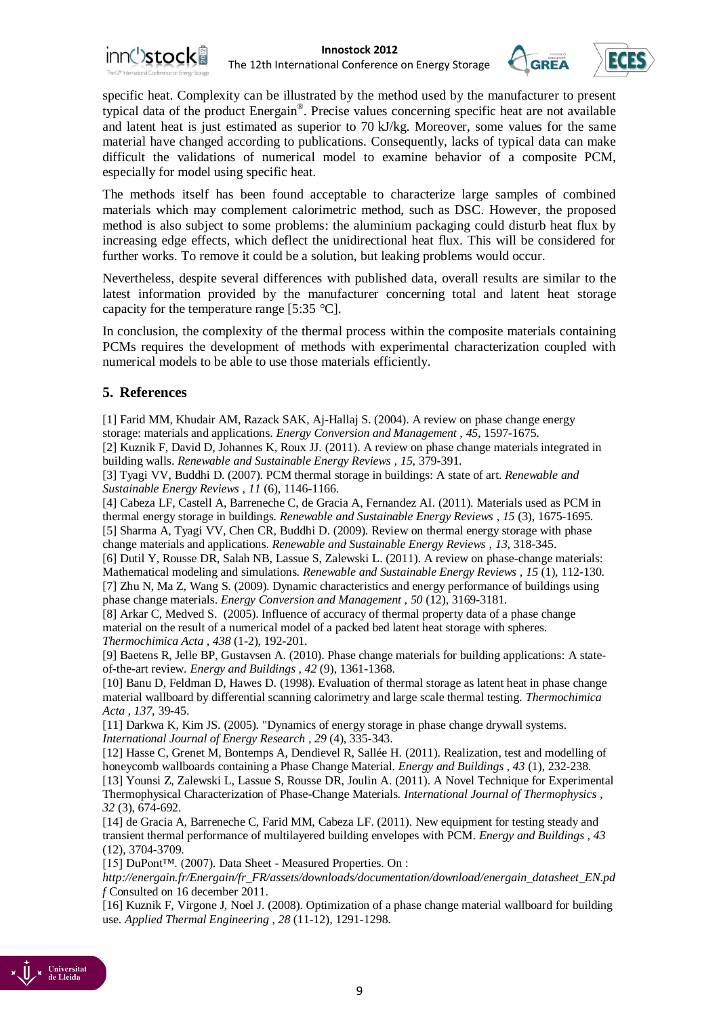





specific heat. Complexity can be illustrated by the method used by the manufacturer to present typical data of the product Energain® . Precise values concerning specific heat are not available and latent heat is just estimated as superior to 70 kJ/kg. Moreover, some values for the same material have changed according to publications. Consequently, lacks of typical data can make difficult the validations of numerical model to examine behavior of a composite PCM, especially for model using specific heat.

The methods itself has been found acceptable to characterize large samples of combined materials which may complement calorimetric method, such as DSC. However, the proposed method is also subject to some problems: the aluminium packaging could disturb heat flux by increasing edge effects, which deflect the unidirectional heat flux. This will be considered for further works. To remove it could be a solution, but leaking problems would occur.

Nevertheless, despite several differences with published data, overall results are similar to the latest information provided by the manufacturer concerning total and latent heat storage capacity for the temperature range [5:35 *°*C].

In conclusion, the complexity of the thermal process within the composite materials containing PCMs requires the development of methods with experimental characterization coupled with numerical models to be able to use those materials efficiently.

## **5. References**

[1] Farid MM, Khudair AM, Razack SAK, Aj-Hallaj S. (2004). A review on phase change energy storage: materials and applications. *Energy Conversion and Management , 45*, 1597-1675.

[2] Kuznik F, David D, Johannes K, Roux JJ. (2011). A review on phase change materials integrated in building walls. *Renewable and Sustainable Energy Reviews , 15*, 379-391.

[3] Tyagi VV, Buddhi D. (2007). PCM thermal storage in buildings: A state of art. *Renewable and Sustainable Energy Reviews , 11* (6), 1146-1166.

[4] Cabeza LF, Castell A, Barreneche C, de Gracia A, Fernandez AI. (2011). Materials used as PCM in thermal energy storage in buildings. *Renewable and Sustainable Energy Reviews , 15* (3), 1675-1695. [5] Sharma A, Tyagi VV, Chen CR, Buddhi D. (2009). Review on thermal energy storage with phase

change materials and applications. *Renewable and Sustainable Energy Reviews , 13*, 318-345.

[6] Dutil Y, Rousse DR, Salah NB, Lassue S, Zalewski L. (2011). A review on phase-change materials: Mathematical modeling and simulations. *Renewable and Sustainable Energy Reviews , 15* (1), 112-130. [7] Zhu N, Ma Z, Wang S. (2009). Dynamic characteristics and energy performance of buildings using phase change materials. *Energy Conversion and Management , 50* (12), 3169-3181.

[8] Arkar C, Medved S. (2005). Influence of accuracy of thermal property data of a phase change material on the result of a numerical model of a packed bed latent heat storage with spheres. *Thermochimica Acta , 438* (1-2), 192-201.

[9] Baetens R, Jelle BP, Gustavsen A. (2010). Phase change materials for building applications: A stateof-the-art review. *Energy and Buildings , 42* (9), 1361-1368.

[10] Banu D, Feldman D, Hawes D. (1998). Evaluation of thermal storage as latent heat in phase change material wallboard by differential scanning calorimetry and large scale thermal testing. *Thermochimica Acta , 137*, 39-45.

[11] Darkwa K, Kim JS. (2005). "Dynamics of energy storage in phase change drywall systems. *International Journal of Energy Research , 29* (4), 335-343.

[12] Hasse C, Grenet M, Bontemps A, Dendievel R, Sallée H. (2011). Realization, test and modelling of honeycomb wallboards containing a Phase Change Material. *Energy and Buildings , 43* (1), 232-238.

[13] Younsi Z, Zalewski L, Lassue S, Rousse DR, Joulin A. (2011). A Novel Technique for Experimental Thermophysical Characterization of Phase-Change Materials. *International Journal of Thermophysics , 32* (3), 674-692.

[14] de Gracia A, Barreneche C, Farid MM, Cabeza LF. (2011). New equipment for testing steady and transient thermal performance of multilayered building envelopes with PCM. *Energy and Buildings , 43* (12), 3704-3709.

[15] DuPont™. (2007). Data Sheet - Measured Properties. On :

*http://energain.fr/Energain/fr\_FR/assets/downloads/documentation/download/energain\_datasheet\_EN.pd f* Consulted on 16 december 2011.

[16] Kuznik F, Virgone J, Noel J. (2008). Optimization of a phase change material wallboard for building use. *Applied Thermal Engineering , 28* (11-12), 1291-1298.